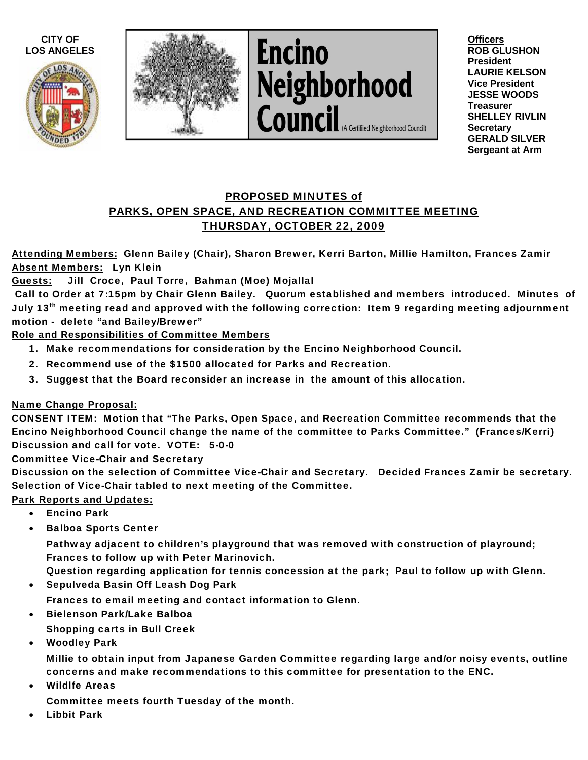



**Encino** Neighborhood<br>Council (A Certified Neighborhood Council)

**Officers ROB GLUSHON President LAURIE KELSON Vice President JESSE WOODS Treasurer SHELLEY RIVLIN Secretary GERALD SILVER Sergeant at Arm** 

## PROPOSED MINUTES of PARKS, OPEN SPACE, AND RECREATION COMMITTEE MEETING THURSDAY, OCTOBER 22, 2009

Attending Members: Glenn Bailey (Chair), Sharon Brewer, Kerri Barton, Millie Hamilton, Frances Zamir Absent Members: Lyn Klein

Guests: Jill Croce, Paul Torre, Bahman (Moe) Mojallal

Call to Order at 7:15pm by Chair Glenn Bailey. Quorum established and members introduced. Minutes of July 13<sup>th</sup> meeting read and approved with the following correction: Item 9 regarding meeting adjournment motion - delete "and Bailey/Brewer"

Role and Responsibilities of Committee Members

- 1. Make recommendations for consideration by the Encino Neighborhood Council.
- 2. Recommend use of the \$1500 allocated for Parks and Recreation.
- 3. Suggest that the Board reconsider an increase in the amount of this allocation.

## Name Change Proposal:

CONSENT ITEM: Motion that "The Parks, Open Space, and Recreation Committee recommends that the Encino Neighborhood Council change the name of the committee to Parks Committee." (Frances/Kerri) Discussion and call for vote. VOTE: 5-0-0

Committee Vice-Chair and Secretary

Discussion on the selection of Committee Vice-Chair and Secretary. Decided Frances Zamir be secretary. Selection of Vice-Chair tabled to next meeting of the Committee.

Park Reports and Updates:

- Encino Park
- Balboa Sports Center

Pathway adjacent to children's playground that was removed with construction of playround; Frances to follow up with Peter Marinovich.

Question regarding application for tennis concession at the park; Paul to follow up with Glenn.

- Sepulveda Basin Off Leash Dog Park
	- Frances to email meeting and contact information to Glenn.
- Bielenson Park/Lake Balboa

Shopping carts in Bull Creek

• Woodley Park

Millie to obtain input from Japanese Garden Committee regarding large and/or noisy events, outline concerns and make recommendations to this committee for presentation to the ENC.

**Wildlfe Areas** 

Committee meets fourth Tuesday of the month.

• Libbit Park